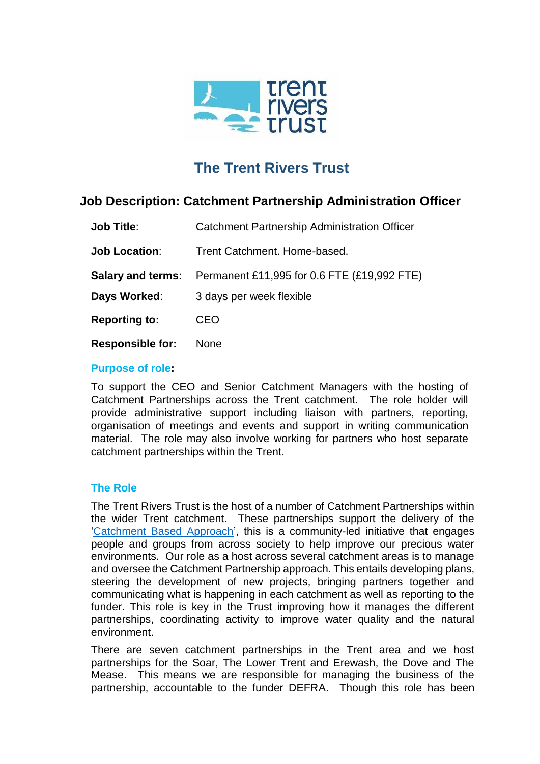

# **The Trent Rivers Trust**

# **Job Description: Catchment Partnership Administration Officer**

| <b>Job Title:</b>       | <b>Catchment Partnership Administration Officer</b>                  |
|-------------------------|----------------------------------------------------------------------|
| <b>Job Location:</b>    | Trent Catchment, Home-based.                                         |
|                         | <b>Salary and terms:</b> Permanent £11,995 for 0.6 FTE (£19,992 FTE) |
| Days Worked:            | 3 days per week flexible                                             |
| <b>Reporting to:</b>    | CEO                                                                  |
| <b>Responsible for:</b> | <b>None</b>                                                          |

#### **Purpose of role:**

To support the CEO and Senior Catchment Managers with the hosting of Catchment Partnerships across the Trent catchment. The role holder will provide administrative support including liaison with partners, reporting, organisation of meetings and events and support in writing communication material. The role may also involve working for partners who host separate catchment partnerships within the Trent.

#### **The Role**

The Trent Rivers Trust is the host of a number of Catchment Partnerships within the wider Trent catchment. These partnerships support the delivery of the ['Catchment Based Approach'](https://catchmentbasedapproach.org/about/), this is a community-led initiative that engages people and groups from across society to help improve our precious water environments. Our role as a host across several catchment areas is to manage and oversee the Catchment Partnership approach. This entails developing plans, steering the development of new projects, bringing partners together and communicating what is happening in each catchment as well as reporting to the funder. This role is key in the Trust improving how it manages the different partnerships, coordinating activity to improve water quality and the natural environment.

There are seven catchment partnerships in the Trent area and we host partnerships for the Soar, The Lower Trent and Erewash, the Dove and The Mease. This means we are responsible for managing the business of the partnership, accountable to the funder DEFRA. Though this role has been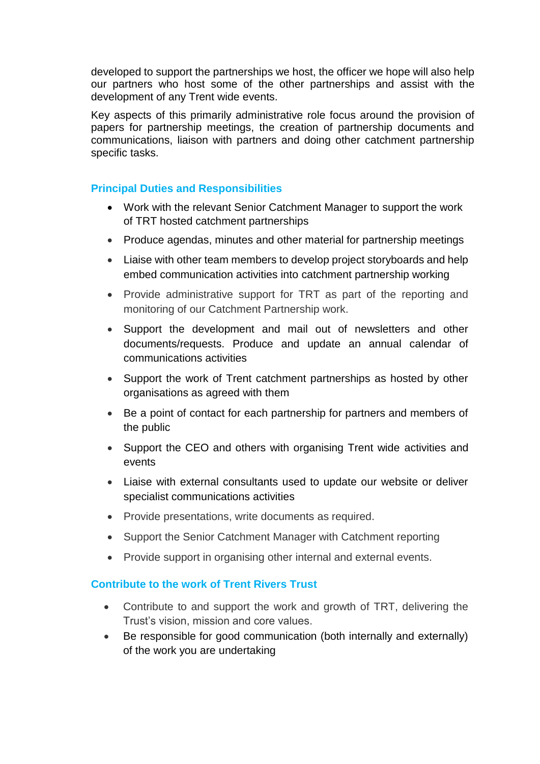developed to support the partnerships we host, the officer we hope will also help our partners who host some of the other partnerships and assist with the development of any Trent wide events.

Key aspects of this primarily administrative role focus around the provision of papers for partnership meetings, the creation of partnership documents and communications, liaison with partners and doing other catchment partnership specific tasks.

#### **Principal Duties and Responsibilities**

- Work with the relevant Senior Catchment Manager to support the work of TRT hosted catchment partnerships
- Produce agendas, minutes and other material for partnership meetings
- Liaise with other team members to develop project storyboards and help embed communication activities into catchment partnership working
- Provide administrative support for TRT as part of the reporting and monitoring of our Catchment Partnership work.
- Support the development and mail out of newsletters and other documents/requests. Produce and update an annual calendar of communications activities
- Support the work of Trent catchment partnerships as hosted by other organisations as agreed with them
- Be a point of contact for each partnership for partners and members of the public
- Support the CEO and others with organising Trent wide activities and events
- Liaise with external consultants used to update our website or deliver specialist communications activities
- Provide presentations, write documents as required.
- Support the Senior Catchment Manager with Catchment reporting
- Provide support in organising other internal and external events.

# **Contribute to the work of Trent Rivers Trust**

- Contribute to and support the work and growth of TRT, delivering the Trust's vision, mission and core values.
- Be responsible for good communication (both internally and externally) of the work you are undertaking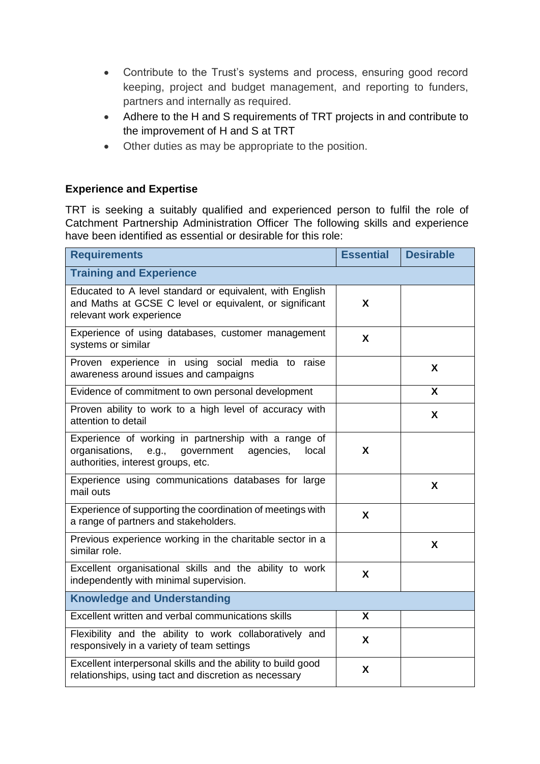- Contribute to the Trust's systems and process, ensuring good record keeping, project and budget management, and reporting to funders, partners and internally as required.
- Adhere to the H and S requirements of TRT projects in and contribute to the improvement of H and S at TRT
- Other duties as may be appropriate to the position.

# **Experience and Expertise**

TRT is seeking a suitably qualified and experienced person to fulfil the role of Catchment Partnership Administration Officer The following skills and experience have been identified as essential or desirable for this role:

| <b>Requirements</b>                                                                                                                                       | <b>Essential</b> | <b>Desirable</b> |  |  |
|-----------------------------------------------------------------------------------------------------------------------------------------------------------|------------------|------------------|--|--|
| <b>Training and Experience</b>                                                                                                                            |                  |                  |  |  |
| Educated to A level standard or equivalent, with English<br>and Maths at GCSE C level or equivalent, or significant<br>relevant work experience           | X                |                  |  |  |
| Experience of using databases, customer management<br>systems or similar                                                                                  | X                |                  |  |  |
| Proven experience in using social media to raise<br>awareness around issues and campaigns                                                                 |                  | X                |  |  |
| Evidence of commitment to own personal development                                                                                                        |                  | X                |  |  |
| Proven ability to work to a high level of accuracy with<br>attention to detail                                                                            |                  | X                |  |  |
| Experience of working in partnership with a range of<br>organisations,<br>government<br>e.g.,<br>agencies,<br>local<br>authorities, interest groups, etc. | X                |                  |  |  |
| Experience using communications databases for large<br>mail outs                                                                                          |                  | X                |  |  |
| Experience of supporting the coordination of meetings with<br>a range of partners and stakeholders.                                                       | X                |                  |  |  |
| Previous experience working in the charitable sector in a<br>similar role.                                                                                |                  | X                |  |  |
| Excellent organisational skills and the ability to work<br>independently with minimal supervision.                                                        | X                |                  |  |  |
| <b>Knowledge and Understanding</b>                                                                                                                        |                  |                  |  |  |
| Excellent written and verbal communications skills                                                                                                        | X                |                  |  |  |
| Flexibility and the ability to work collaboratively and<br>responsively in a variety of team settings                                                     | X                |                  |  |  |
| Excellent interpersonal skills and the ability to build good<br>relationships, using tact and discretion as necessary                                     | X                |                  |  |  |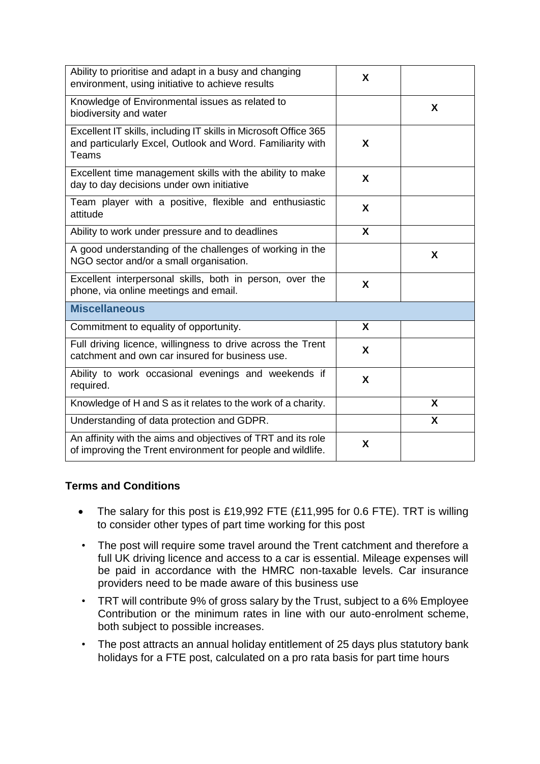| Ability to prioritise and adapt in a busy and changing<br>environment, using initiative to achieve results                              | X                         |   |
|-----------------------------------------------------------------------------------------------------------------------------------------|---------------------------|---|
| Knowledge of Environmental issues as related to<br>biodiversity and water                                                               |                           | X |
| Excellent IT skills, including IT skills in Microsoft Office 365<br>and particularly Excel, Outlook and Word. Familiarity with<br>Teams | X                         |   |
| Excellent time management skills with the ability to make<br>day to day decisions under own initiative                                  | X                         |   |
| Team player with a positive, flexible and enthusiastic<br>attitude                                                                      | X                         |   |
| Ability to work under pressure and to deadlines                                                                                         | $\boldsymbol{\mathsf{X}}$ |   |
| A good understanding of the challenges of working in the<br>NGO sector and/or a small organisation.                                     |                           | X |
| Excellent interpersonal skills, both in person, over the<br>phone, via online meetings and email.                                       | X                         |   |
| <b>Miscellaneous</b>                                                                                                                    |                           |   |
| Commitment to equality of opportunity.                                                                                                  | X                         |   |
| Full driving licence, willingness to drive across the Trent<br>catchment and own car insured for business use.                          | X                         |   |
| Ability to work occasional evenings and weekends if<br>required.                                                                        | X                         |   |
| Knowledge of H and S as it relates to the work of a charity.                                                                            |                           | X |
| Understanding of data protection and GDPR.                                                                                              |                           | X |
| An affinity with the aims and objectives of TRT and its role<br>of improving the Trent environment for people and wildlife.             | X                         |   |

# **Terms and Conditions**

- The salary for this post is £19,992 FTE (£11,995 for 0.6 FTE). TRT is willing to consider other types of part time working for this post
- The post will require some travel around the Trent catchment and therefore a full UK driving licence and access to a car is essential. Mileage expenses will be paid in accordance with the HMRC non-taxable levels. Car insurance providers need to be made aware of this business use
- TRT will contribute 9% of gross salary by the Trust, subject to a 6% Employee Contribution or the minimum rates in line with our auto-enrolment scheme, both subject to possible increases.
- The post attracts an annual holiday entitlement of 25 days plus statutory bank holidays for a FTE post, calculated on a pro rata basis for part time hours